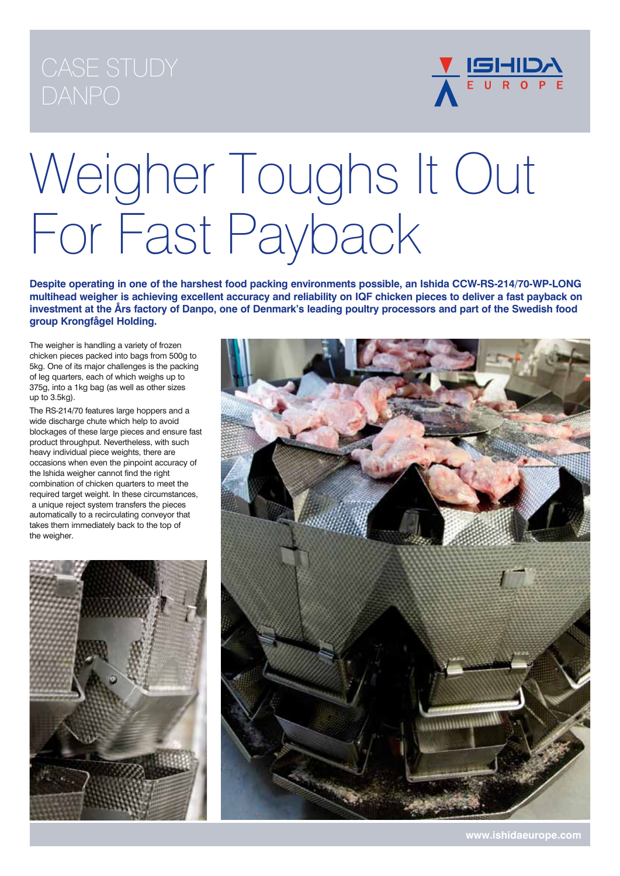

# Weigher Toughs It Out For Fast Payback

**Despite operating in one of the harshest food packing environments possible, an Ishida CCW-RS-214/70-WP-LONG multihead weigher is achieving excellent accuracy and reliability on IQF chicken pieces to deliver a fast payback on investment at the Års factory of Danpo, one of Denmark's leading poultry processors and part of the Swedish food group Krongfågel Holding.**

The weigher is handling a variety of frozen chicken pieces packed into bags from 500g to 5kg. One of its major challenges is the packing of leg quarters, each of which weighs up to 375g, into a 1kg bag (as well as other sizes up to 3.5kg).

The RS-214/70 features large hoppers and a wide discharge chute which help to avoid blockages of these large pieces and ensure fast product throughput. Nevertheless, with such heavy individual piece weights, there are occasions when even the pinpoint accuracy of the Ishida weigher cannot find the right combination of chicken quarters to meet the required target weight. In these circumstances, a unique reject system transfers the pieces automatically to a recirculating conveyor that takes them immediately back to the top of the weigher.